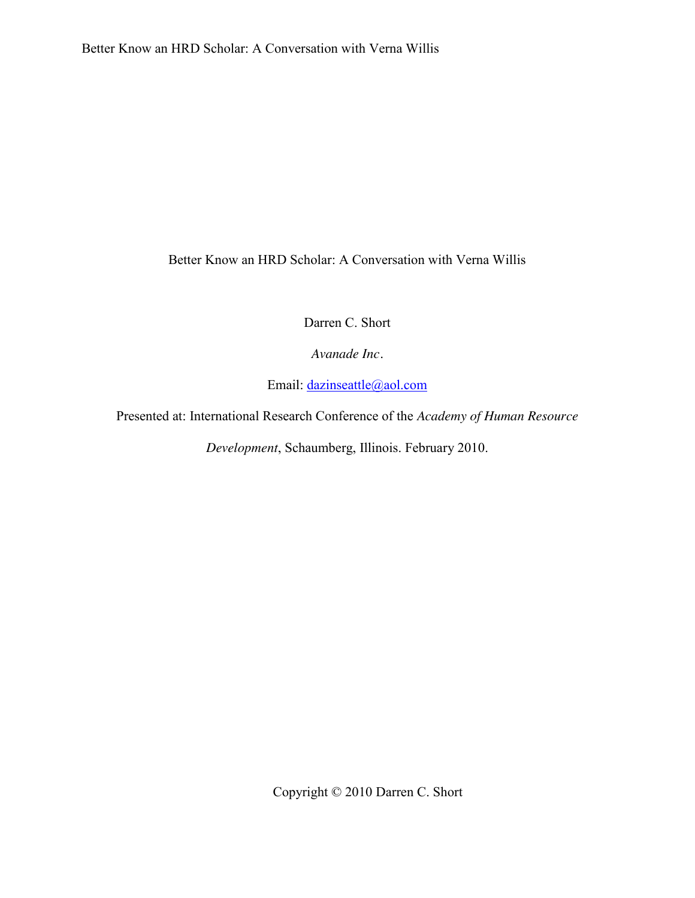Better Know an HRD Scholar: A Conversation with Verna Willis

Darren C. Short

*Avanade Inc.*

Email: [dazinseattle@aol.com](mailto:dazinseattle@aol.com)

Presented at: International Research Conference of the *Academy of Human Resource* 

*Development*, Schaumberg, Illinois. February 2010.

Copyright © 2010 Darren C. Short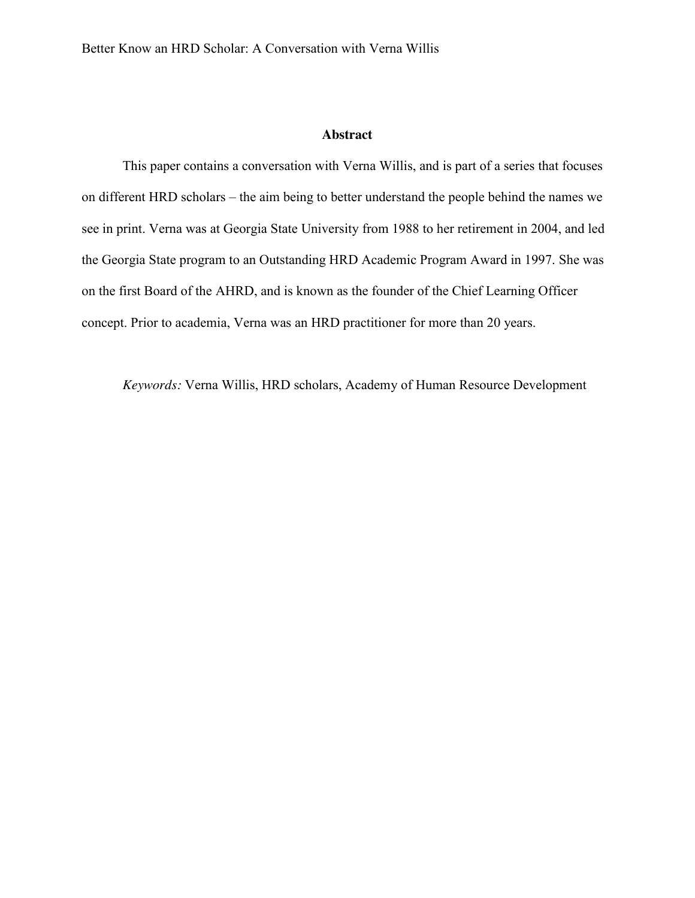#### **Abstract**

This paper contains a conversation with Verna Willis, and is part of a series that focuses on different HRD scholars – the aim being to better understand the people behind the names we see in print. Verna was at Georgia State University from 1988 to her retirement in 2004, and led the Georgia State program to an Outstanding HRD Academic Program Award in 1997. She was on the first Board of the AHRD, and is known as the founder of the Chief Learning Officer concept. Prior to academia, Verna was an HRD practitioner for more than 20 years.

*Keywords:* Verna Willis, HRD scholars, Academy of Human Resource Development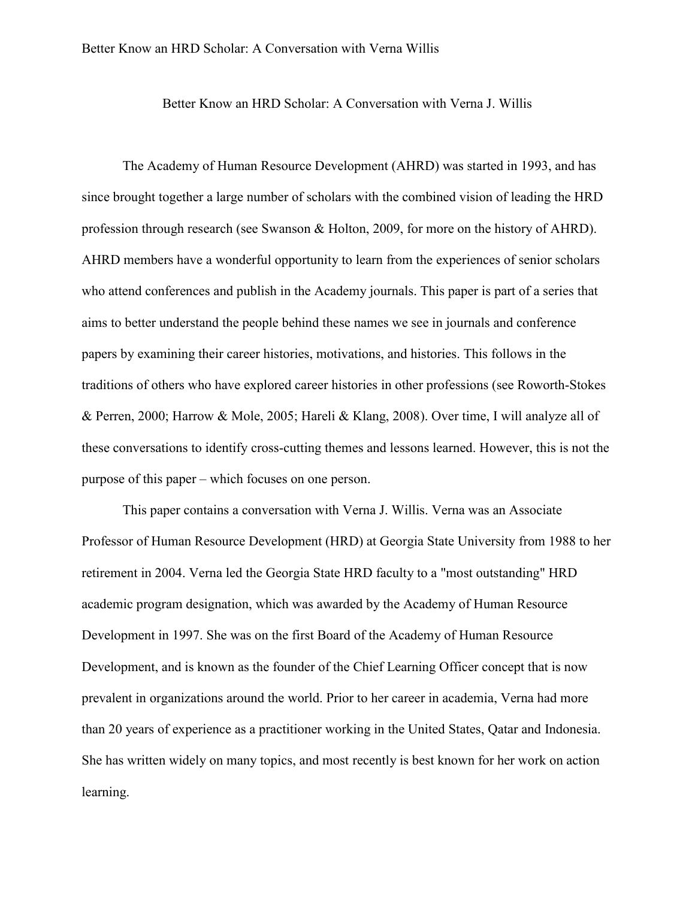Better Know an HRD Scholar: A Conversation with Verna J. Willis

The Academy of Human Resource Development (AHRD) was started in 1993, and has since brought together a large number of scholars with the combined vision of leading the HRD profession through research (see Swanson & Holton, 2009, for more on the history of AHRD). AHRD members have a wonderful opportunity to learn from the experiences of senior scholars who attend conferences and publish in the Academy journals. This paper is part of a series that aims to better understand the people behind these names we see in journals and conference papers by examining their career histories, motivations, and histories. This follows in the traditions of others who have explored career histories in other professions (see Roworth-Stokes & Perren, 2000; Harrow & Mole, 2005; Hareli & Klang, 2008). Over time, I will analyze all of these conversations to identify cross-cutting themes and lessons learned. However, this is not the purpose of this paper – which focuses on one person.

This paper contains a conversation with Verna J. Willis. Verna was an Associate Professor of Human Resource Development (HRD) at Georgia State University from 1988 to her retirement in 2004. Verna led the Georgia State HRD faculty to a "most outstanding" HRD academic program designation, which was awarded by the Academy of Human Resource Development in 1997. She was on the first Board of the Academy of Human Resource Development, and is known as the founder of the Chief Learning Officer concept that is now prevalent in organizations around the world. Prior to her career in academia, Verna had more than 20 years of experience as a practitioner working in the United States, Qatar and Indonesia. She has written widely on many topics, and most recently is best known for her work on action learning.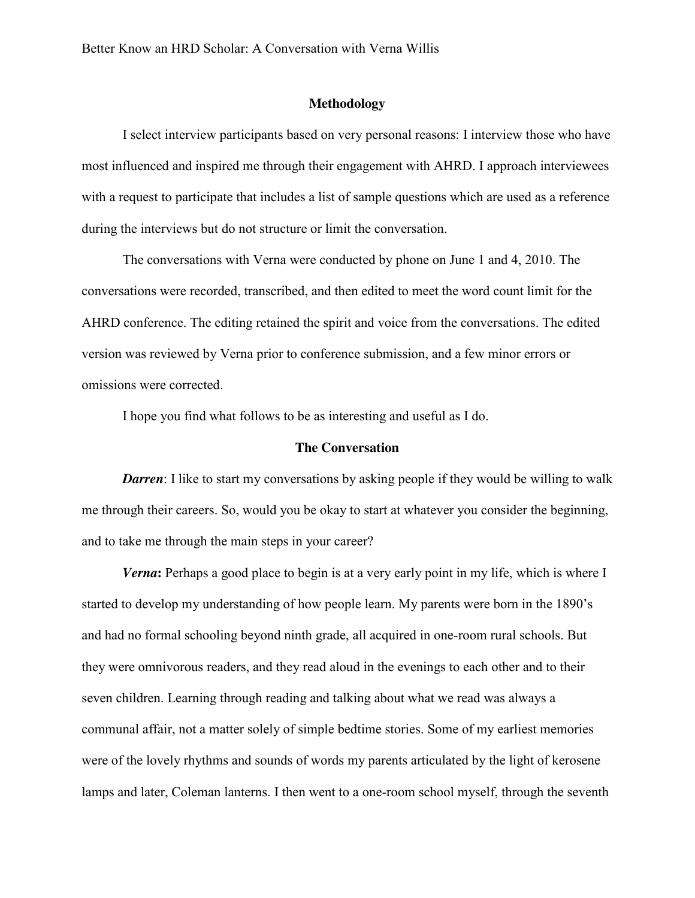### **Methodology**

I select interview participants based on very personal reasons: I interview those who have most influenced and inspired me through their engagement with AHRD. I approach interviewees with a request to participate that includes a list of sample questions which are used as a reference during the interviews but do not structure or limit the conversation.

The conversations with Verna were conducted by phone on June 1 and 4, 2010. The conversations were recorded, transcribed, and then edited to meet the word count limit for the AHRD conference. The editing retained the spirit and voice from the conversations. The edited version was reviewed by Verna prior to conference submission, and a few minor errors or omissions were corrected.

I hope you find what follows to be as interesting and useful as I do.

## **The Conversation**

*Darren*: I like to start my conversations by asking people if they would be willing to walk me through their careers. So, would you be okay to start at whatever you consider the beginning, and to take me through the main steps in your career?

*Verna***:** Perhaps a good place to begin is at a very early point in my life, which is where I started to develop my understanding of how people learn. My parents were born in the 1890's and had no formal schooling beyond ninth grade, all acquired in one-room rural schools. But they were omnivorous readers, and they read aloud in the evenings to each other and to their seven children. Learning through reading and talking about what we read was always a communal affair, not a matter solely of simple bedtime stories. Some of my earliest memories were of the lovely rhythms and sounds of words my parents articulated by the light of kerosene lamps and later, Coleman lanterns. I then went to a one-room school myself, through the seventh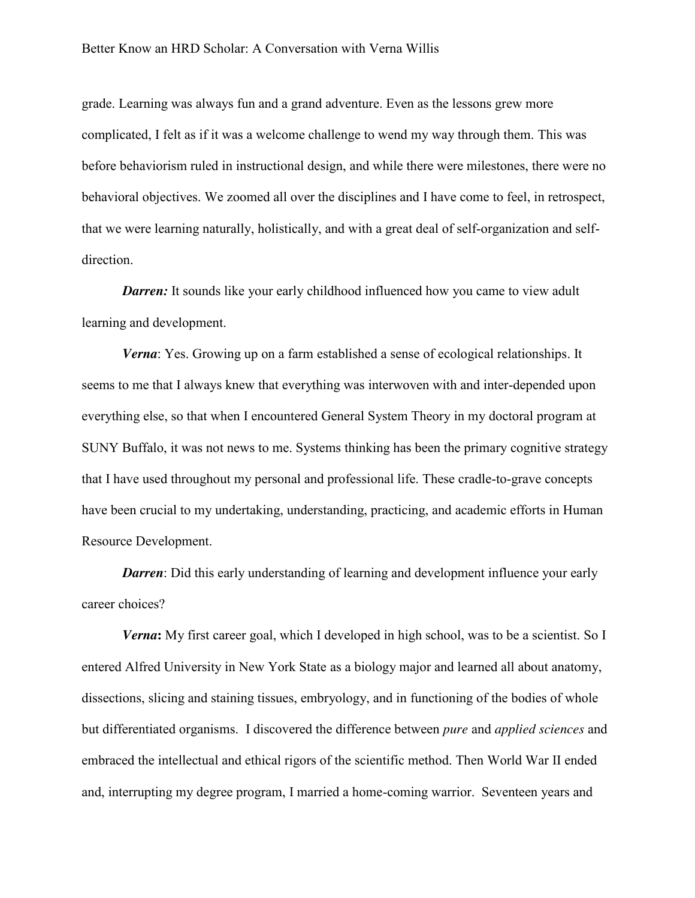grade. Learning was always fun and a grand adventure. Even as the lessons grew more complicated, I felt as if it was a welcome challenge to wend my way through them. This was before behaviorism ruled in instructional design, and while there were milestones, there were no behavioral objectives. We zoomed all over the disciplines and I have come to feel, in retrospect, that we were learning naturally, holistically, and with a great deal of self-organization and selfdirection.

*Darren:* It sounds like your early childhood influenced how you came to view adult learning and development.

*Verna*: Yes. Growing up on a farm established a sense of ecological relationships. It seems to me that I always knew that everything was interwoven with and inter-depended upon everything else, so that when I encountered General System Theory in my doctoral program at SUNY Buffalo, it was not news to me. Systems thinking has been the primary cognitive strategy that I have used throughout my personal and professional life. These cradle-to-grave concepts have been crucial to my undertaking, understanding, practicing, and academic efforts in Human Resource Development.

*Darren*: Did this early understanding of learning and development influence your early career choices?

*Verna***:** My first career goal, which I developed in high school, was to be a scientist. So I entered Alfred University in New York State as a biology major and learned all about anatomy, dissections, slicing and staining tissues, embryology, and in functioning of the bodies of whole but differentiated organisms. I discovered the difference between *pure* and *applied sciences* and embraced the intellectual and ethical rigors of the scientific method. Then World War II ended and, interrupting my degree program, I married a home-coming warrior. Seventeen years and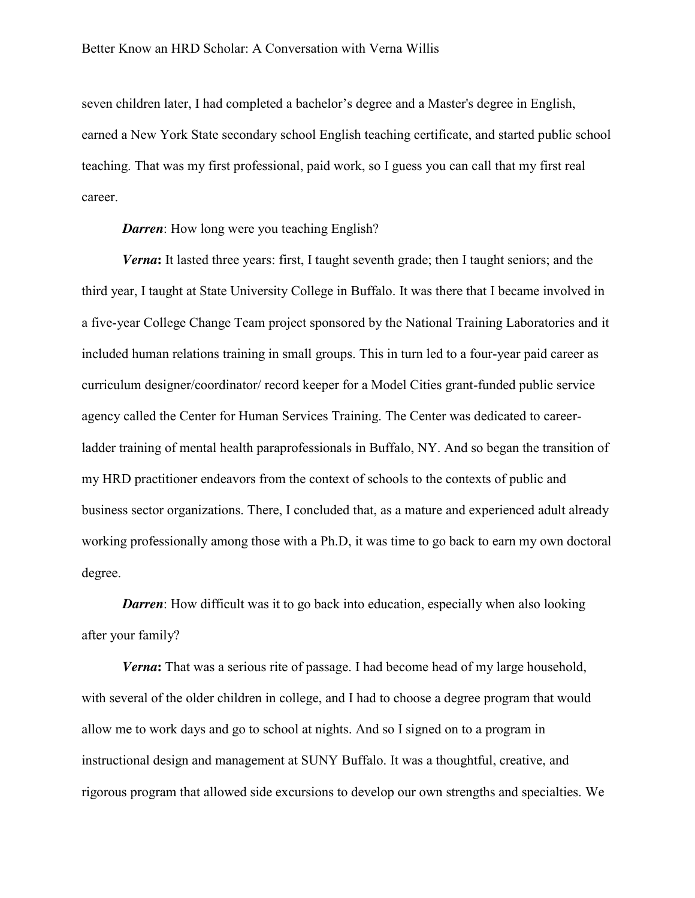seven children later, I had completed a bachelor's degree and a Master's degree in English, earned a New York State secondary school English teaching certificate, and started public school teaching. That was my first professional, paid work, so I guess you can call that my first real career.

*Darren*: How long were you teaching English?

*Verna***:** It lasted three years: first, I taught seventh grade; then I taught seniors; and the third year, I taught at State University College in Buffalo. It was there that I became involved in a five-year College Change Team project sponsored by the National Training Laboratories and it included human relations training in small groups. This in turn led to a four-year paid career as curriculum designer/coordinator/ record keeper for a Model Cities grant-funded public service agency called the Center for Human Services Training. The Center was dedicated to careerladder training of mental health paraprofessionals in Buffalo, NY. And so began the transition of my HRD practitioner endeavors from the context of schools to the contexts of public and business sector organizations. There, I concluded that, as a mature and experienced adult already working professionally among those with a Ph.D, it was time to go back to earn my own doctoral degree.

*Darren*: How difficult was it to go back into education, especially when also looking after your family?

*Verna***:** That was a serious rite of passage. I had become head of my large household, with several of the older children in college, and I had to choose a degree program that would allow me to work days and go to school at nights. And so I signed on to a program in instructional design and management at SUNY Buffalo. It was a thoughtful, creative, and rigorous program that allowed side excursions to develop our own strengths and specialties. We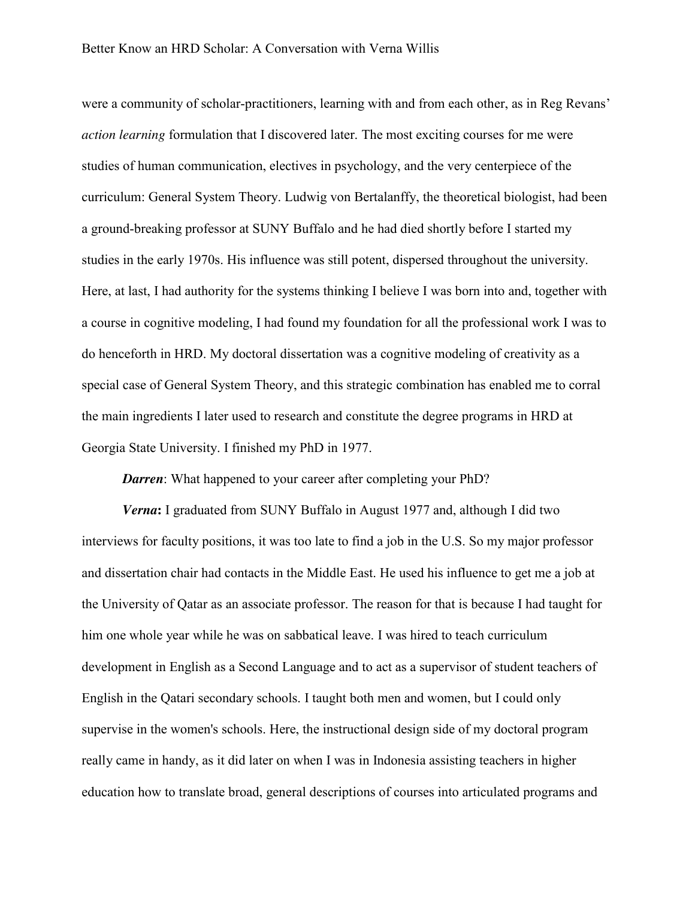were a community of scholar-practitioners, learning with and from each other, as in Reg Revans' *action learning* formulation that I discovered later. The most exciting courses for me were studies of human communication, electives in psychology, and the very centerpiece of the curriculum: General System Theory. Ludwig von Bertalanffy, the theoretical biologist, had been a ground-breaking professor at SUNY Buffalo and he had died shortly before I started my studies in the early 1970s. His influence was still potent, dispersed throughout the university. Here, at last, I had authority for the systems thinking I believe I was born into and, together with a course in cognitive modeling, I had found my foundation for all the professional work I was to do henceforth in HRD. My doctoral dissertation was a cognitive modeling of creativity as a special case of General System Theory, and this strategic combination has enabled me to corral the main ingredients I later used to research and constitute the degree programs in HRD at Georgia State University. I finished my PhD in 1977.

*Darren*: What happened to your career after completing your PhD?

*Verna***:** I graduated from SUNY Buffalo in August 1977 and, although I did two interviews for faculty positions, it was too late to find a job in the U.S. So my major professor and dissertation chair had contacts in the Middle East. He used his influence to get me a job at the University of Qatar as an associate professor. The reason for that is because I had taught for him one whole year while he was on sabbatical leave. I was hired to teach curriculum development in English as a Second Language and to act as a supervisor of student teachers of English in the Qatari secondary schools. I taught both men and women, but I could only supervise in the women's schools. Here, the instructional design side of my doctoral program really came in handy, as it did later on when I was in Indonesia assisting teachers in higher education how to translate broad, general descriptions of courses into articulated programs and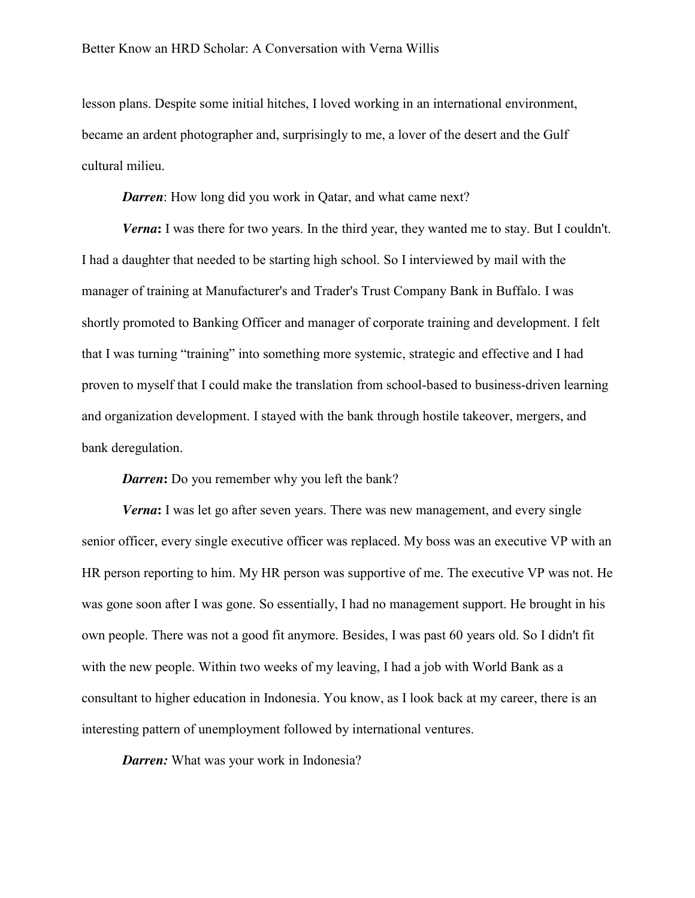lesson plans. Despite some initial hitches, I loved working in an international environment, became an ardent photographer and, surprisingly to me, a lover of the desert and the Gulf cultural milieu.

*Darren*: How long did you work in Qatar, and what came next?

*Verna***:** I was there for two years. In the third year, they wanted me to stay. But I couldn't. I had a daughter that needed to be starting high school. So I interviewed by mail with the manager of training at Manufacturer's and Trader's Trust Company Bank in Buffalo. I was shortly promoted to Banking Officer and manager of corporate training and development. I felt that I was turning "training" into something more systemic, strategic and effective and I had proven to myself that I could make the translation from school-based to business-driven learning and organization development. I stayed with the bank through hostile takeover, mergers, and bank deregulation.

*Darren***:** Do you remember why you left the bank?

*Verna***:** I was let go after seven years. There was new management, and every single senior officer, every single executive officer was replaced. My boss was an executive VP with an HR person reporting to him. My HR person was supportive of me. The executive VP was not. He was gone soon after I was gone. So essentially, I had no management support. He brought in his own people. There was not a good fit anymore. Besides, I was past 60 years old. So I didn't fit with the new people. Within two weeks of my leaving, I had a job with World Bank as a consultant to higher education in Indonesia. You know, as I look back at my career, there is an interesting pattern of unemployment followed by international ventures.

*Darren:* What was your work in Indonesia?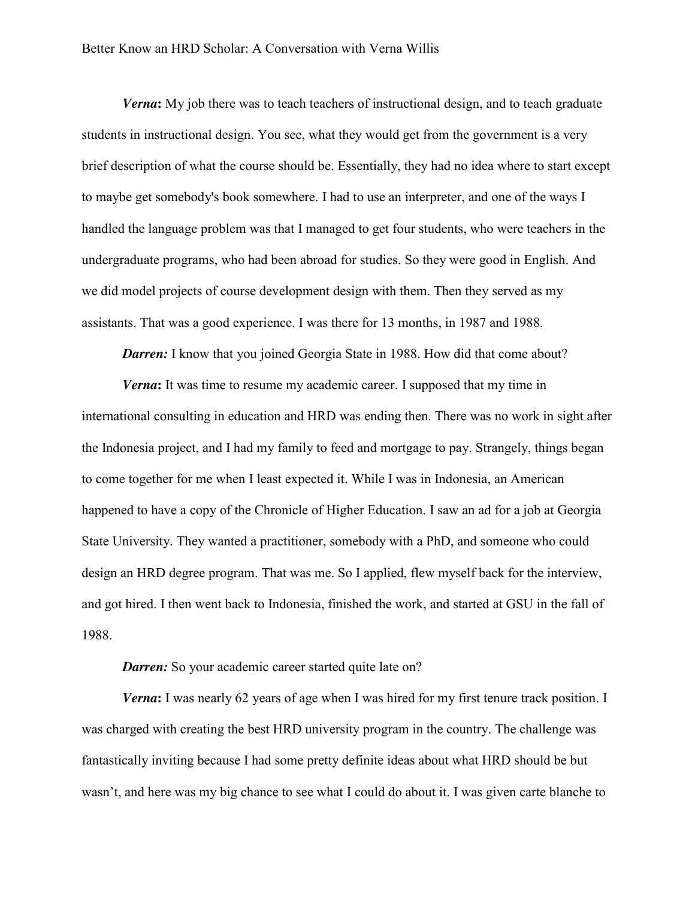*Verna***:** My job there was to teach teachers of instructional design, and to teach graduate students in instructional design. You see, what they would get from the government is a very brief description of what the course should be. Essentially, they had no idea where to start except to maybe get somebody's book somewhere. I had to use an interpreter, and one of the ways I handled the language problem was that I managed to get four students, who were teachers in the undergraduate programs, who had been abroad for studies. So they were good in English. And we did model projects of course development design with them. Then they served as my assistants. That was a good experience. I was there for 13 months, in 1987 and 1988.

*Darren:* I know that you joined Georgia State in 1988. How did that come about?

*Verna***:** It was time to resume my academic career. I supposed that my time in international consulting in education and HRD was ending then. There was no work in sight after the Indonesia project, and I had my family to feed and mortgage to pay. Strangely, things began to come together for me when I least expected it. While I was in Indonesia, an American happened to have a copy of the Chronicle of Higher Education. I saw an ad for a job at Georgia State University. They wanted a practitioner, somebody with a PhD, and someone who could design an HRD degree program. That was me. So I applied, flew myself back for the interview, and got hired. I then went back to Indonesia, finished the work, and started at GSU in the fall of 1988.

*Darren:* So your academic career started quite late on?

*Verna***:** I was nearly 62 years of age when I was hired for my first tenure track position. I was charged with creating the best HRD university program in the country. The challenge was fantastically inviting because I had some pretty definite ideas about what HRD should be but wasn't, and here was my big chance to see what I could do about it. I was given carte blanche to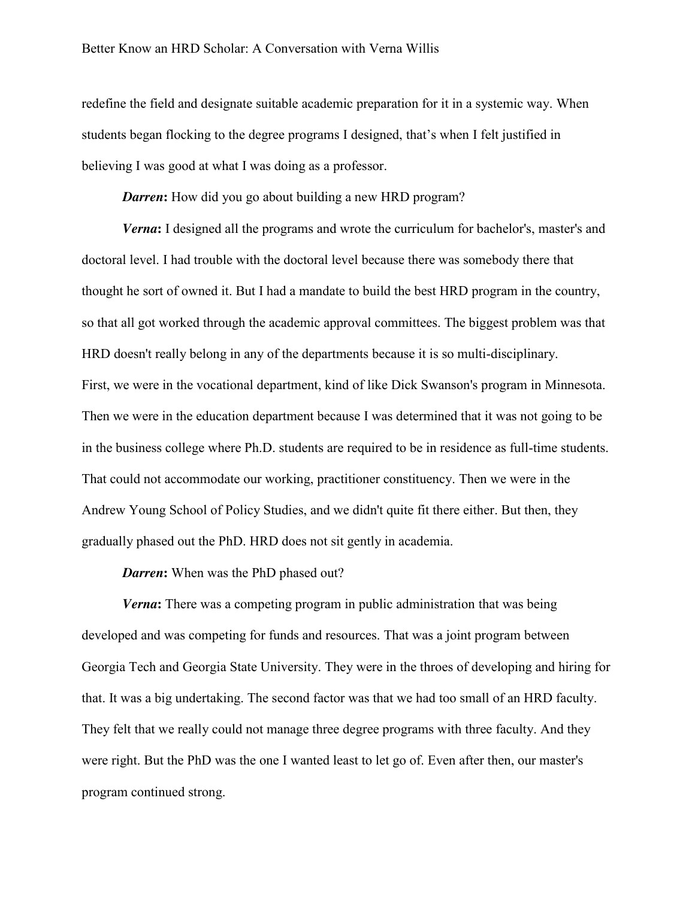redefine the field and designate suitable academic preparation for it in a systemic way. When students began flocking to the degree programs I designed, that's when I felt justified in believing I was good at what I was doing as a professor.

*Darren***:** How did you go about building a new HRD program?

*Verna***:** I designed all the programs and wrote the curriculum for bachelor's, master's and doctoral level. I had trouble with the doctoral level because there was somebody there that thought he sort of owned it. But I had a mandate to build the best HRD program in the country, so that all got worked through the academic approval committees. The biggest problem was that HRD doesn't really belong in any of the departments because it is so multi-disciplinary. First, we were in the vocational department, kind of like Dick Swanson's program in Minnesota. Then we were in the education department because I was determined that it was not going to be in the business college where Ph.D. students are required to be in residence as full-time students. That could not accommodate our working, practitioner constituency. Then we were in the Andrew Young School of Policy Studies, and we didn't quite fit there either. But then, they gradually phased out the PhD. HRD does not sit gently in academia.

*Darren***:** When was the PhD phased out?

*Verna***:** There was a competing program in public administration that was being developed and was competing for funds and resources. That was a joint program between Georgia Tech and Georgia State University. They were in the throes of developing and hiring for that. It was a big undertaking. The second factor was that we had too small of an HRD faculty. They felt that we really could not manage three degree programs with three faculty. And they were right. But the PhD was the one I wanted least to let go of. Even after then, our master's program continued strong.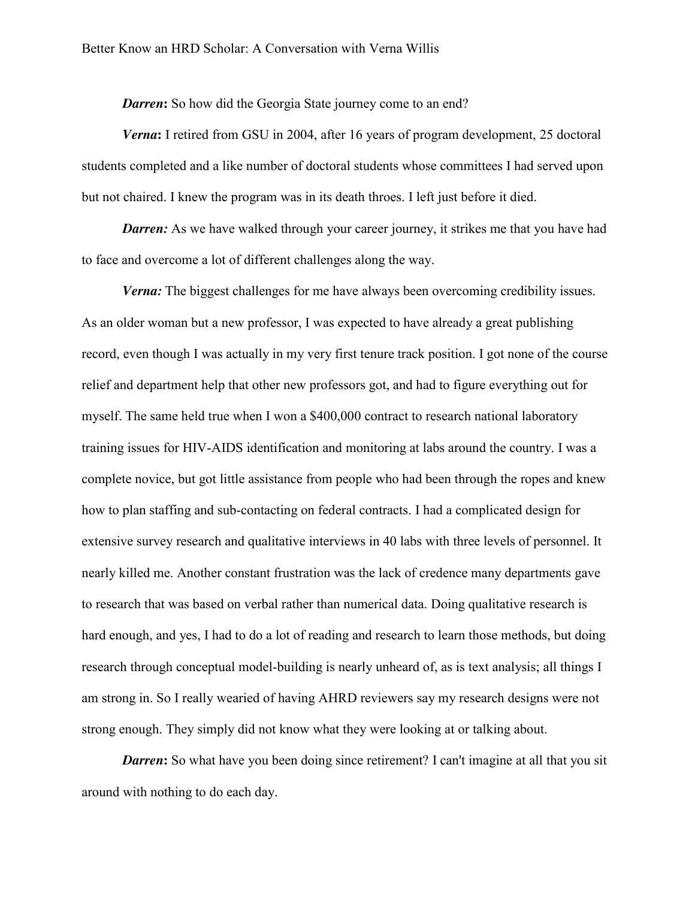*Darren***:** So how did the Georgia State journey come to an end?

*Verna***:** I retired from GSU in 2004, after 16 years of program development, 25 doctoral students completed and a like number of doctoral students whose committees I had served upon but not chaired. I knew the program was in its death throes. I left just before it died.

*Darren:* As we have walked through your career journey, it strikes me that you have had to face and overcome a lot of different challenges along the way.

*Verna:* The biggest challenges for me have always been overcoming credibility issues. As an older woman but a new professor, I was expected to have already a great publishing record, even though I was actually in my very first tenure track position. I got none of the course relief and department help that other new professors got, and had to figure everything out for myself. The same held true when I won a \$400,000 contract to research national laboratory training issues for HIV-AIDS identification and monitoring at labs around the country. I was a complete novice, but got little assistance from people who had been through the ropes and knew how to plan staffing and sub-contacting on federal contracts. I had a complicated design for extensive survey research and qualitative interviews in 40 labs with three levels of personnel. It nearly killed me. Another constant frustration was the lack of credence many departments gave to research that was based on verbal rather than numerical data. Doing qualitative research is hard enough, and yes, I had to do a lot of reading and research to learn those methods, but doing research through conceptual model-building is nearly unheard of, as is text analysis; all things I am strong in. So I really wearied of having AHRD reviewers say my research designs were not strong enough. They simply did not know what they were looking at or talking about.

*Darren*: So what have you been doing since retirement? I can't imagine at all that you sit around with nothing to do each day.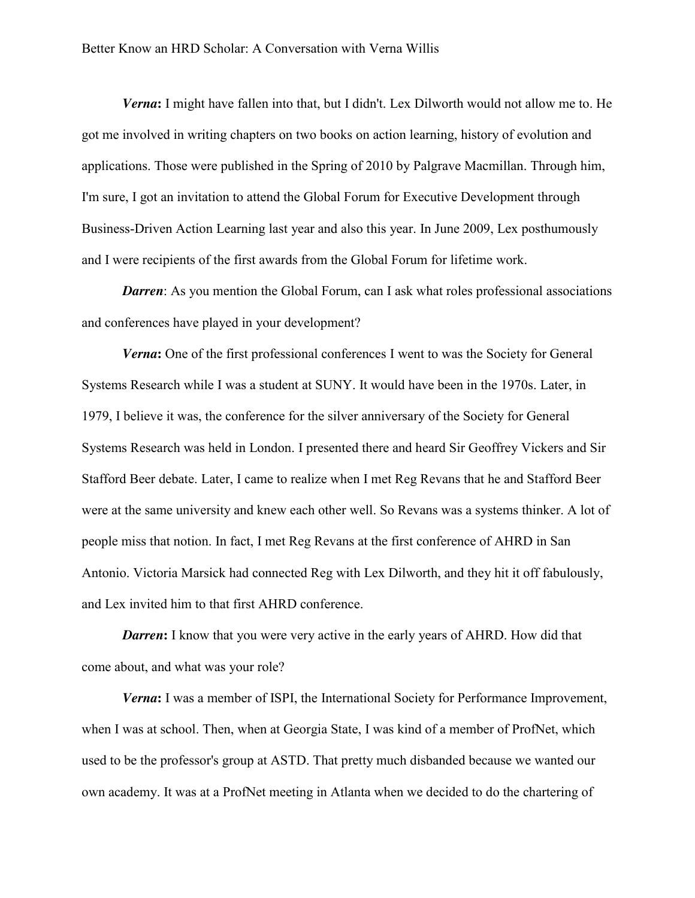*Verna***:** I might have fallen into that, but I didn't. Lex Dilworth would not allow me to. He got me involved in writing chapters on two books on action learning, history of evolution and applications. Those were published in the Spring of 2010 by Palgrave Macmillan. Through him, I'm sure, I got an invitation to attend the Global Forum for Executive Development through Business-Driven Action Learning last year and also this year. In June 2009, Lex posthumously and I were recipients of the first awards from the Global Forum for lifetime work.

*Darren*: As you mention the Global Forum, can I ask what roles professional associations and conferences have played in your development?

*Verna***:** One of the first professional conferences I went to was the Society for General Systems Research while I was a student at SUNY. It would have been in the 1970s. Later, in 1979, I believe it was, the conference for the silver anniversary of the Society for General Systems Research was held in London. I presented there and heard Sir Geoffrey Vickers and Sir Stafford Beer debate. Later, I came to realize when I met Reg Revans that he and Stafford Beer were at the same university and knew each other well. So Revans was a systems thinker. A lot of people miss that notion. In fact, I met Reg Revans at the first conference of AHRD in San Antonio. Victoria Marsick had connected Reg with Lex Dilworth, and they hit it off fabulously, and Lex invited him to that first AHRD conference.

*Darren*: I know that you were very active in the early years of AHRD. How did that come about, and what was your role?

*Verna***:** I was a member of ISPI, the International Society for Performance Improvement, when I was at school. Then, when at Georgia State, I was kind of a member of ProfNet, which used to be the professor's group at ASTD. That pretty much disbanded because we wanted our own academy. It was at a ProfNet meeting in Atlanta when we decided to do the chartering of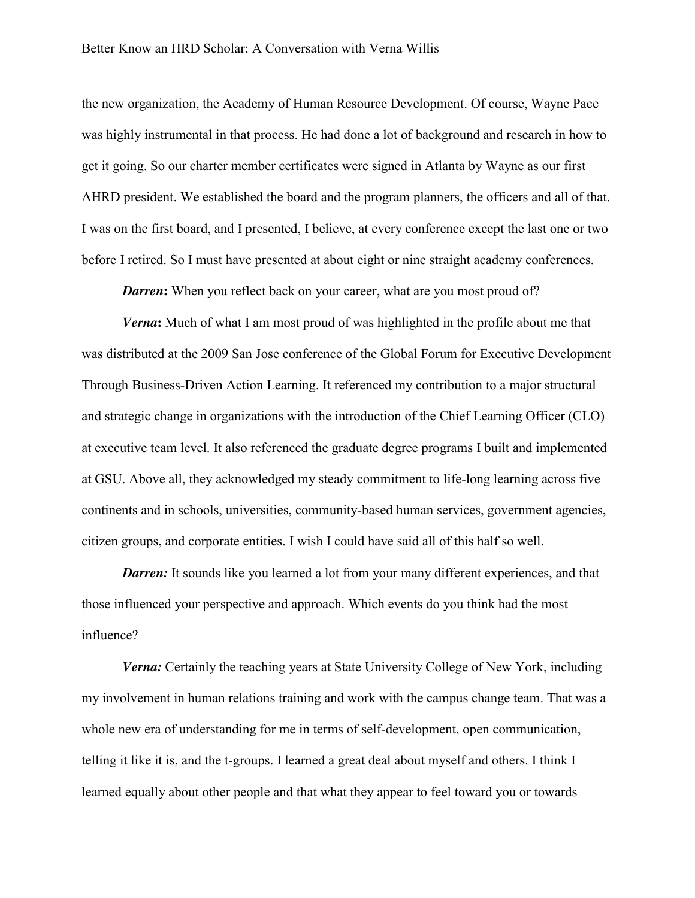the new organization, the Academy of Human Resource Development. Of course, Wayne Pace was highly instrumental in that process. He had done a lot of background and research in how to get it going. So our charter member certificates were signed in Atlanta by Wayne as our first AHRD president. We established the board and the program planners, the officers and all of that. I was on the first board, and I presented, I believe, at every conference except the last one or two before I retired. So I must have presented at about eight or nine straight academy conferences.

*Darren*: When you reflect back on your career, what are you most proud of?

*Verna***:** Much of what I am most proud of was highlighted in the profile about me that was distributed at the 2009 San Jose conference of the Global Forum for Executive Development Through Business-Driven Action Learning. It referenced my contribution to a major structural and strategic change in organizations with the introduction of the Chief Learning Officer (CLO) at executive team level. It also referenced the graduate degree programs I built and implemented at GSU. Above all, they acknowledged my steady commitment to life-long learning across five continents and in schools, universities, community-based human services, government agencies, citizen groups, and corporate entities. I wish I could have said all of this half so well.

*Darren:* It sounds like you learned a lot from your many different experiences, and that those influenced your perspective and approach. Which events do you think had the most influence?

*Verna:* Certainly the teaching years at State University College of New York, including my involvement in human relations training and work with the campus change team. That was a whole new era of understanding for me in terms of self-development, open communication, telling it like it is, and the t-groups. I learned a great deal about myself and others. I think I learned equally about other people and that what they appear to feel toward you or towards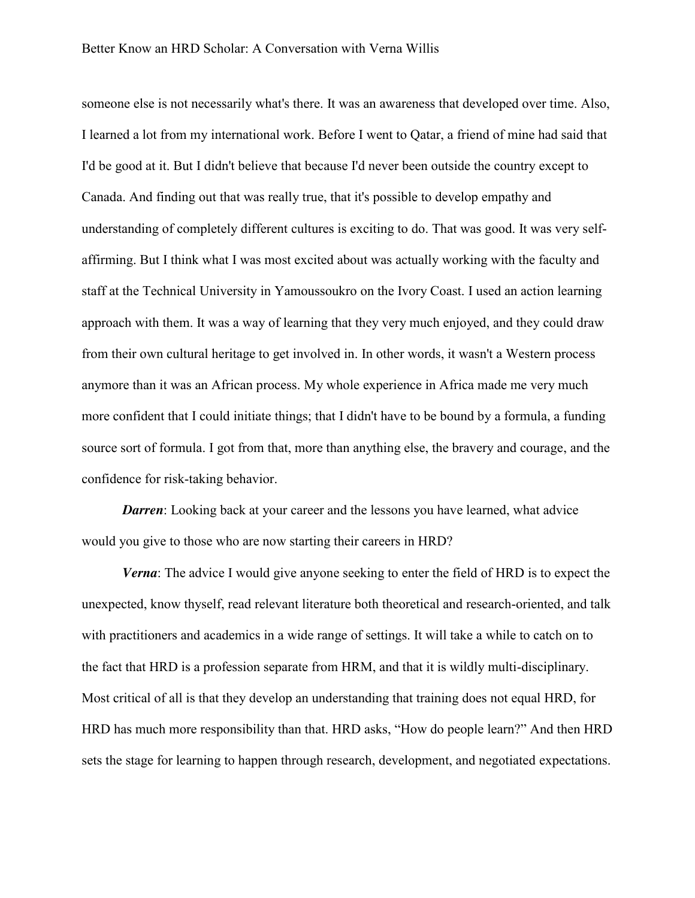someone else is not necessarily what's there. It was an awareness that developed over time. Also, I learned a lot from my international work. Before I went to Qatar, a friend of mine had said that I'd be good at it. But I didn't believe that because I'd never been outside the country except to Canada. And finding out that was really true, that it's possible to develop empathy and understanding of completely different cultures is exciting to do. That was good. It was very selfaffirming. But I think what I was most excited about was actually working with the faculty and staff at the Technical University in Yamoussoukro on the Ivory Coast. I used an action learning approach with them. It was a way of learning that they very much enjoyed, and they could draw from their own cultural heritage to get involved in. In other words, it wasn't a Western process anymore than it was an African process. My whole experience in Africa made me very much more confident that I could initiate things; that I didn't have to be bound by a formula, a funding source sort of formula. I got from that, more than anything else, the bravery and courage, and the confidence for risk-taking behavior.

*Darren*: Looking back at your career and the lessons you have learned, what advice would you give to those who are now starting their careers in HRD?

*Verna*: The advice I would give anyone seeking to enter the field of HRD is to expect the unexpected, know thyself, read relevant literature both theoretical and research-oriented, and talk with practitioners and academics in a wide range of settings. It will take a while to catch on to the fact that HRD is a profession separate from HRM, and that it is wildly multi-disciplinary. Most critical of all is that they develop an understanding that training does not equal HRD, for HRD has much more responsibility than that. HRD asks, "How do people learn?" And then HRD sets the stage for learning to happen through research, development, and negotiated expectations.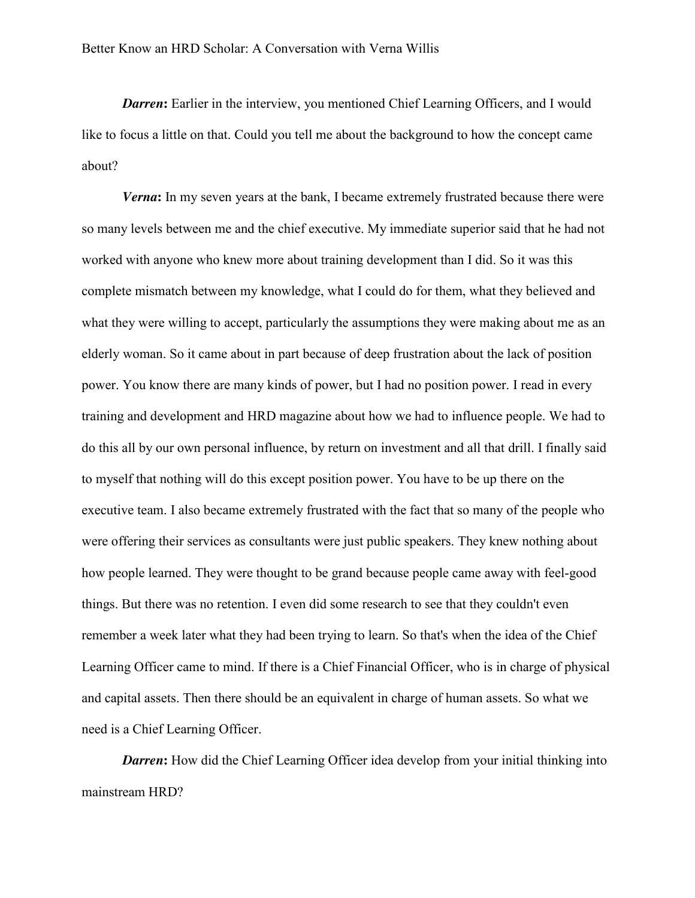*Darren*: Earlier in the interview, you mentioned Chief Learning Officers, and I would like to focus a little on that. Could you tell me about the background to how the concept came about?

*Verna***:** In my seven years at the bank, I became extremely frustrated because there were so many levels between me and the chief executive. My immediate superior said that he had not worked with anyone who knew more about training development than I did. So it was this complete mismatch between my knowledge, what I could do for them, what they believed and what they were willing to accept, particularly the assumptions they were making about me as an elderly woman. So it came about in part because of deep frustration about the lack of position power. You know there are many kinds of power, but I had no position power. I read in every training and development and HRD magazine about how we had to influence people. We had to do this all by our own personal influence, by return on investment and all that drill. I finally said to myself that nothing will do this except position power. You have to be up there on the executive team. I also became extremely frustrated with the fact that so many of the people who were offering their services as consultants were just public speakers. They knew nothing about how people learned. They were thought to be grand because people came away with feel-good things. But there was no retention. I even did some research to see that they couldn't even remember a week later what they had been trying to learn. So that's when the idea of the Chief Learning Officer came to mind. If there is a Chief Financial Officer, who is in charge of physical and capital assets. Then there should be an equivalent in charge of human assets. So what we need is a Chief Learning Officer.

*Darren***:** How did the Chief Learning Officer idea develop from your initial thinking into mainstream HRD?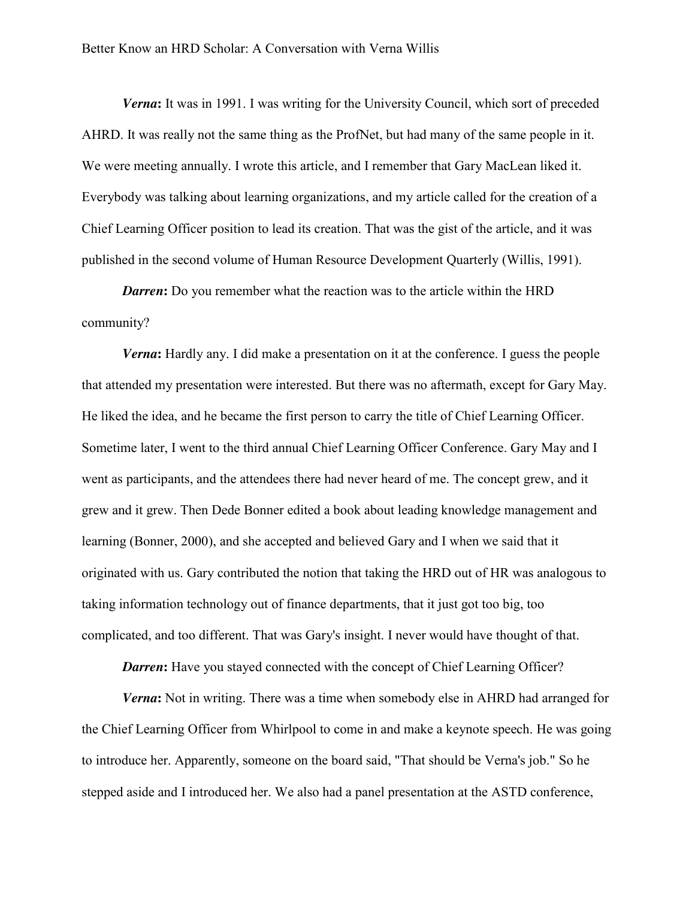*Verna***:** It was in 1991. I was writing for the University Council, which sort of preceded AHRD. It was really not the same thing as the ProfNet, but had many of the same people in it. We were meeting annually. I wrote this article, and I remember that Gary MacLean liked it. Everybody was talking about learning organizations, and my article called for the creation of a Chief Learning Officer position to lead its creation. That was the gist of the article, and it was published in the second volume of Human Resource Development Quarterly (Willis, 1991).

*Darren*: Do you remember what the reaction was to the article within the HRD community?

*Verna*: Hardly any. I did make a presentation on it at the conference. I guess the people that attended my presentation were interested. But there was no aftermath, except for Gary May. He liked the idea, and he became the first person to carry the title of Chief Learning Officer. Sometime later, I went to the third annual Chief Learning Officer Conference. Gary May and I went as participants, and the attendees there had never heard of me. The concept grew, and it grew and it grew. Then Dede Bonner edited a book about leading knowledge management and learning (Bonner, 2000), and she accepted and believed Gary and I when we said that it originated with us. Gary contributed the notion that taking the HRD out of HR was analogous to taking information technology out of finance departments, that it just got too big, too complicated, and too different. That was Gary's insight. I never would have thought of that.

*Darren*: Have you stayed connected with the concept of Chief Learning Officer?

*Verna***:** Not in writing. There was a time when somebody else in AHRD had arranged for the Chief Learning Officer from Whirlpool to come in and make a keynote speech. He was going to introduce her. Apparently, someone on the board said, "That should be Verna's job." So he stepped aside and I introduced her. We also had a panel presentation at the ASTD conference,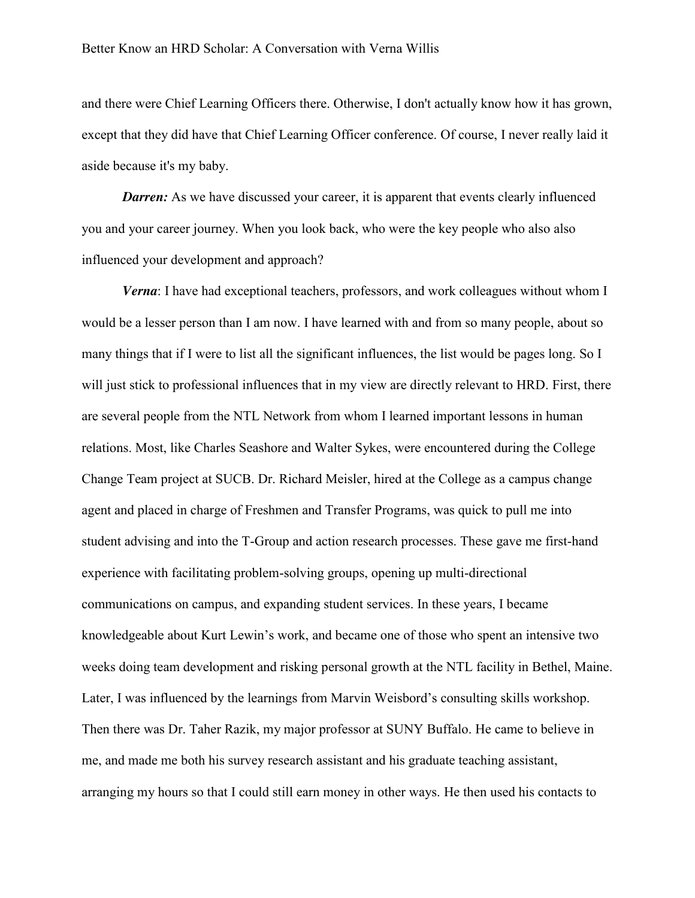and there were Chief Learning Officers there. Otherwise, I don't actually know how it has grown, except that they did have that Chief Learning Officer conference. Of course, I never really laid it aside because it's my baby.

*Darren:* As we have discussed your career, it is apparent that events clearly influenced you and your career journey. When you look back, who were the key people who also also influenced your development and approach?

*Verna*: I have had exceptional teachers, professors, and work colleagues without whom I would be a lesser person than I am now. I have learned with and from so many people, about so many things that if I were to list all the significant influences, the list would be pages long. So I will just stick to professional influences that in my view are directly relevant to HRD. First, there are several people from the NTL Network from whom I learned important lessons in human relations. Most, like Charles Seashore and Walter Sykes, were encountered during the College Change Team project at SUCB. Dr. Richard Meisler, hired at the College as a campus change agent and placed in charge of Freshmen and Transfer Programs, was quick to pull me into student advising and into the T-Group and action research processes. These gave me first-hand experience with facilitating problem-solving groups, opening up multi-directional communications on campus, and expanding student services. In these years, I became knowledgeable about Kurt Lewin's work, and became one of those who spent an intensive two weeks doing team development and risking personal growth at the NTL facility in Bethel, Maine. Later, I was influenced by the learnings from Marvin Weisbord's consulting skills workshop. Then there was Dr. Taher Razik, my major professor at SUNY Buffalo. He came to believe in me, and made me both his survey research assistant and his graduate teaching assistant, arranging my hours so that I could still earn money in other ways. He then used his contacts to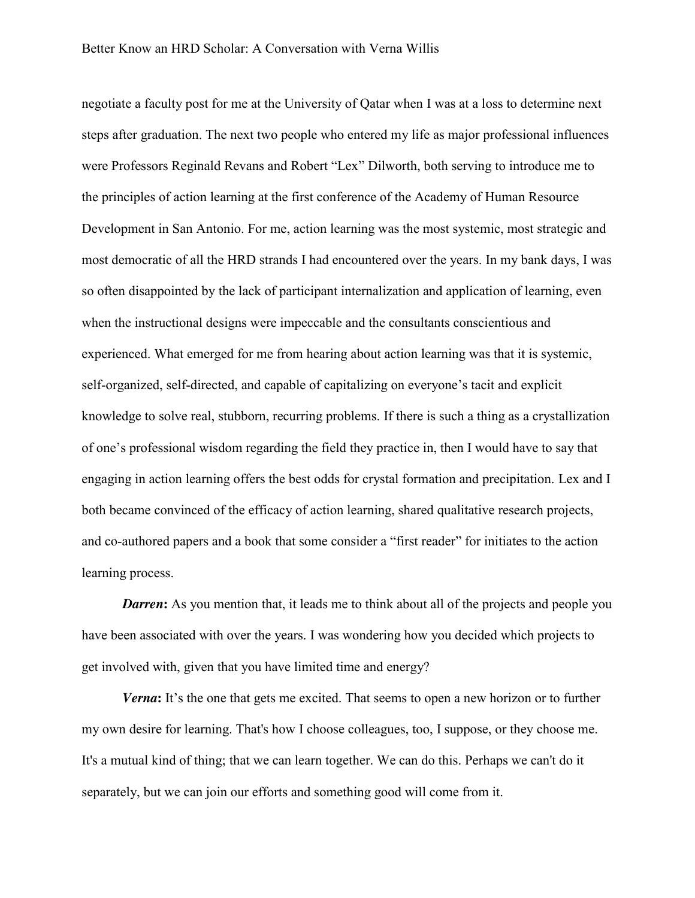negotiate a faculty post for me at the University of Qatar when I was at a loss to determine next steps after graduation. The next two people who entered my life as major professional influences were Professors Reginald Revans and Robert "Lex" Dilworth, both serving to introduce me to the principles of action learning at the first conference of the Academy of Human Resource Development in San Antonio. For me, action learning was the most systemic, most strategic and most democratic of all the HRD strands I had encountered over the years. In my bank days, I was so often disappointed by the lack of participant internalization and application of learning, even when the instructional designs were impeccable and the consultants conscientious and experienced. What emerged for me from hearing about action learning was that it is systemic, self-organized, self-directed, and capable of capitalizing on everyone's tacit and explicit knowledge to solve real, stubborn, recurring problems. If there is such a thing as a crystallization of one's professional wisdom regarding the field they practice in, then I would have to say that engaging in action learning offers the best odds for crystal formation and precipitation. Lex and I both became convinced of the efficacy of action learning, shared qualitative research projects, and co-authored papers and a book that some consider a "first reader" for initiates to the action learning process.

*Darren*: As you mention that, it leads me to think about all of the projects and people you have been associated with over the years. I was wondering how you decided which projects to get involved with, given that you have limited time and energy?

*Verna***:** It's the one that gets me excited. That seems to open a new horizon or to further my own desire for learning. That's how I choose colleagues, too, I suppose, or they choose me. It's a mutual kind of thing; that we can learn together. We can do this. Perhaps we can't do it separately, but we can join our efforts and something good will come from it.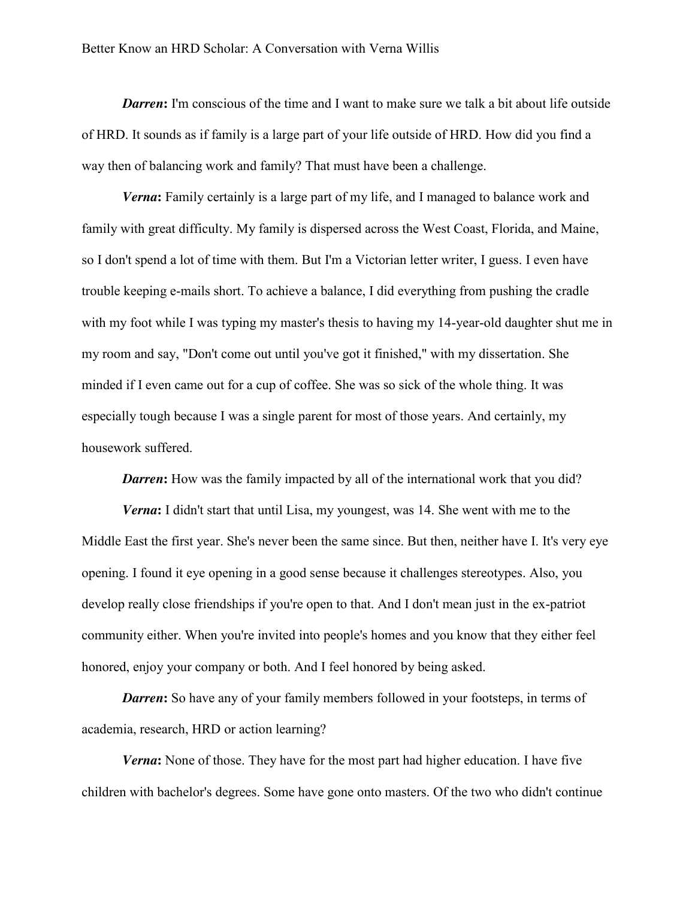*Darren*: I'm conscious of the time and I want to make sure we talk a bit about life outside of HRD. It sounds as if family is a large part of your life outside of HRD. How did you find a way then of balancing work and family? That must have been a challenge.

*Verna***:** Family certainly is a large part of my life, and I managed to balance work and family with great difficulty. My family is dispersed across the West Coast, Florida, and Maine, so I don't spend a lot of time with them. But I'm a Victorian letter writer, I guess. I even have trouble keeping e-mails short. To achieve a balance, I did everything from pushing the cradle with my foot while I was typing my master's thesis to having my 14-year-old daughter shut me in my room and say, "Don't come out until you've got it finished," with my dissertation. She minded if I even came out for a cup of coffee. She was so sick of the whole thing. It was especially tough because I was a single parent for most of those years. And certainly, my housework suffered.

*Darren*: How was the family impacted by all of the international work that you did?

*Verna***:** I didn't start that until Lisa, my youngest, was 14. She went with me to the Middle East the first year. She's never been the same since. But then, neither have I. It's very eye opening. I found it eye opening in a good sense because it challenges stereotypes. Also, you develop really close friendships if you're open to that. And I don't mean just in the ex-patriot community either. When you're invited into people's homes and you know that they either feel honored, enjoy your company or both. And I feel honored by being asked.

*Darren*: So have any of your family members followed in your footsteps, in terms of academia, research, HRD or action learning?

*Verna***:** None of those. They have for the most part had higher education. I have five children with bachelor's degrees. Some have gone onto masters. Of the two who didn't continue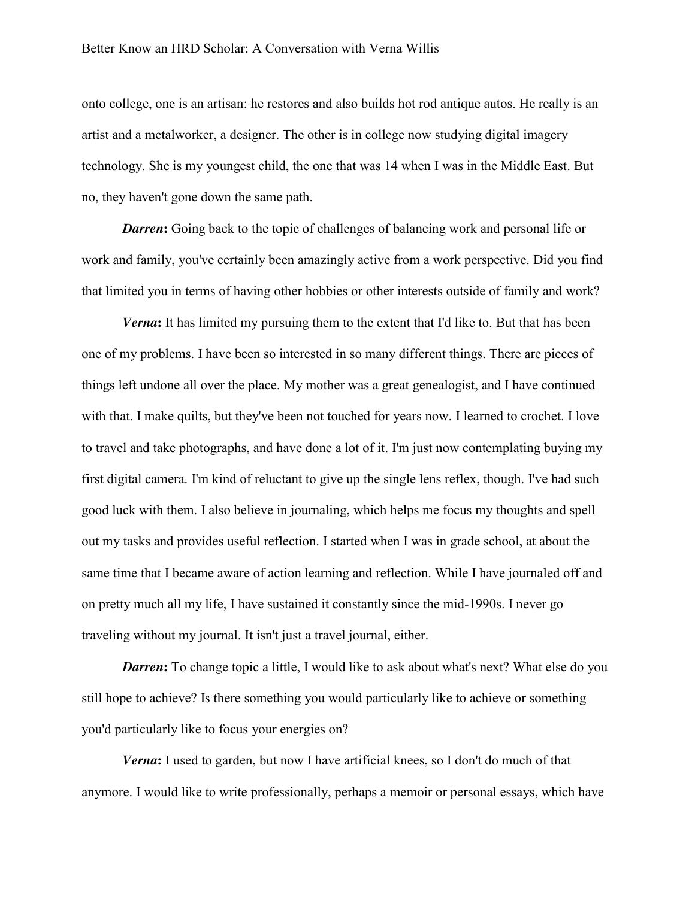onto college, one is an artisan: he restores and also builds hot rod antique autos. He really is an artist and a metalworker, a designer. The other is in college now studying digital imagery technology. She is my youngest child, the one that was 14 when I was in the Middle East. But no, they haven't gone down the same path.

*Darren*: Going back to the topic of challenges of balancing work and personal life or work and family, you've certainly been amazingly active from a work perspective. Did you find that limited you in terms of having other hobbies or other interests outside of family and work?

*Verna***:** It has limited my pursuing them to the extent that I'd like to. But that has been one of my problems. I have been so interested in so many different things. There are pieces of things left undone all over the place. My mother was a great genealogist, and I have continued with that. I make quilts, but they've been not touched for years now. I learned to crochet. I love to travel and take photographs, and have done a lot of it. I'm just now contemplating buying my first digital camera. I'm kind of reluctant to give up the single lens reflex, though. I've had such good luck with them. I also believe in journaling, which helps me focus my thoughts and spell out my tasks and provides useful reflection. I started when I was in grade school, at about the same time that I became aware of action learning and reflection. While I have journaled off and on pretty much all my life, I have sustained it constantly since the mid-1990s. I never go traveling without my journal. It isn't just a travel journal, either.

*Darren*: To change topic a little, I would like to ask about what's next? What else do you still hope to achieve? Is there something you would particularly like to achieve or something you'd particularly like to focus your energies on?

*Verna***:** I used to garden, but now I have artificial knees, so I don't do much of that anymore. I would like to write professionally, perhaps a memoir or personal essays, which have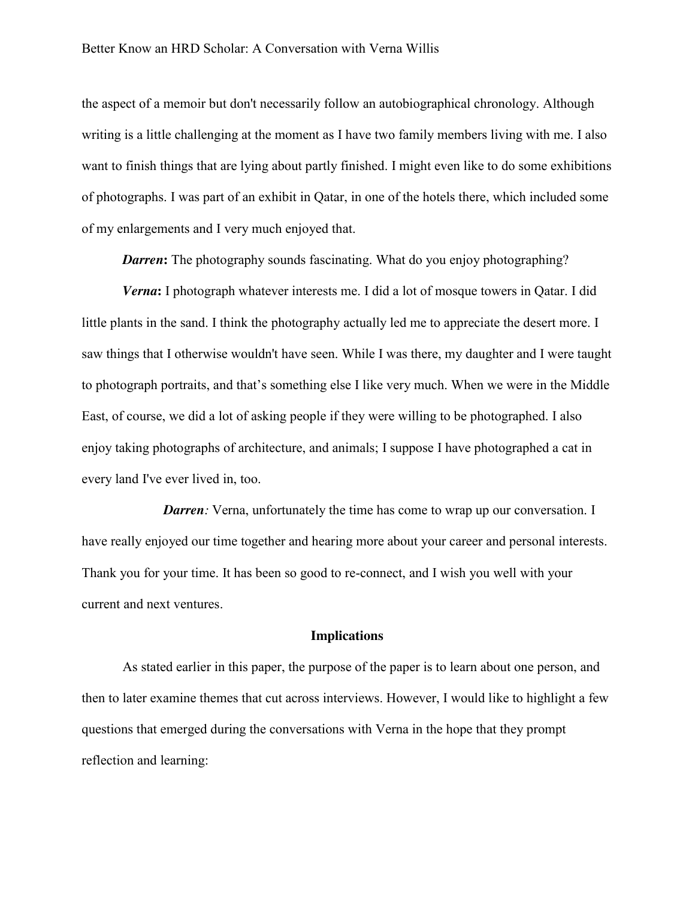the aspect of a memoir but don't necessarily follow an autobiographical chronology. Although writing is a little challenging at the moment as I have two family members living with me. I also want to finish things that are lying about partly finished. I might even like to do some exhibitions of photographs. I was part of an exhibit in Qatar, in one of the hotels there, which included some of my enlargements and I very much enjoyed that.

*Darren*: The photography sounds fascinating. What do you enjoy photographing?

*Verna***:** I photograph whatever interests me. I did a lot of mosque towers in Qatar. I did little plants in the sand. I think the photography actually led me to appreciate the desert more. I saw things that I otherwise wouldn't have seen. While I was there, my daughter and I were taught to photograph portraits, and that's something else I like very much. When we were in the Middle East, of course, we did a lot of asking people if they were willing to be photographed. I also enjoy taking photographs of architecture, and animals; I suppose I have photographed a cat in every land I've ever lived in, too.

*Darren*: Verna, unfortunately the time has come to wrap up our conversation. I have really enjoyed our time together and hearing more about your career and personal interests. Thank you for your time. It has been so good to re-connect, and I wish you well with your current and next ventures.

### **Implications**

As stated earlier in this paper, the purpose of the paper is to learn about one person, and then to later examine themes that cut across interviews. However, I would like to highlight a few questions that emerged during the conversations with Verna in the hope that they prompt reflection and learning: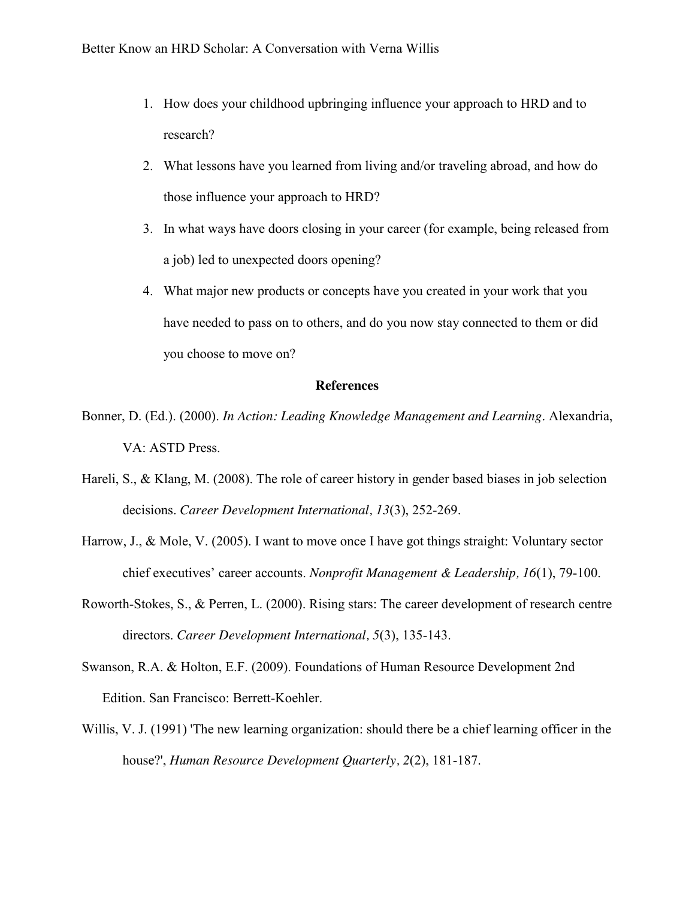- 1. How does your childhood upbringing influence your approach to HRD and to research?
- 2. What lessons have you learned from living and/or traveling abroad, and how do those influence your approach to HRD?
- 3. In what ways have doors closing in your career (for example, being released from a job) led to unexpected doors opening?
- 4. What major new products or concepts have you created in your work that you have needed to pass on to others, and do you now stay connected to them or did you choose to move on?

#### **References**

- Bonner, D. (Ed.). (2000). *In Action: Leading Knowledge Management and Learning*. Alexandria, VA: ASTD Press.
- Hareli, S., & Klang, M. (2008). The role of career history in gender based biases in job selection decisions. *Career Development International, 13*(3), 252-269.
- Harrow, J., & Mole, V. (2005). I want to move once I have got things straight: Voluntary sector chief executives' career accounts. *Nonprofit Management & Leadership, 16*(1), 79-100.
- Roworth-Stokes, S., & Perren, L. (2000). Rising stars: The career development of research centre directors. *Career Development International, 5*(3), 135-143.
- Swanson, R.A. & Holton, E.F. (2009). Foundations of Human Resource Development 2nd Edition. San Francisco: Berrett-Koehler.
- Willis, V. J. (1991) 'The new learning organization: should there be a chief learning officer in the house?', *Human Resource Development Quarterly, 2*(2), 181-187.